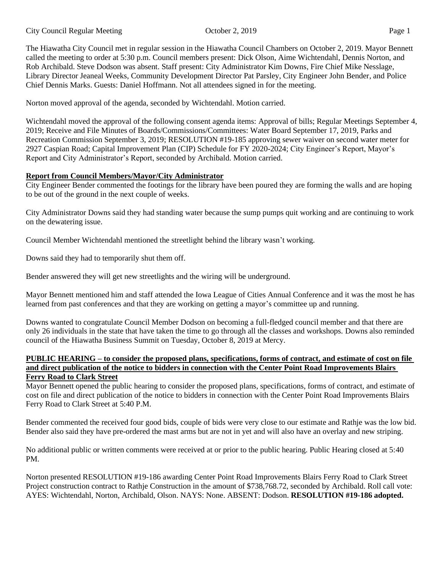The Hiawatha City Council met in regular session in the Hiawatha Council Chambers on October 2, 2019. Mayor Bennett called the meeting to order at 5:30 p.m. Council members present: Dick Olson, Aime Wichtendahl, Dennis Norton, and Rob Archibald. Steve Dodson was absent. Staff present: City Administrator Kim Downs, Fire Chief Mike Nesslage, Library Director Jeaneal Weeks, Community Development Director Pat Parsley, City Engineer John Bender, and Police Chief Dennis Marks. Guests: Daniel Hoffmann. Not all attendees signed in for the meeting.

Norton moved approval of the agenda, seconded by Wichtendahl. Motion carried.

Wichtendahl moved the approval of the following consent agenda items: Approval of bills; Regular Meetings September 4, 2019; Receive and File Minutes of Boards/Commissions/Committees: Water Board September 17, 2019, Parks and Recreation Commission September 3, 2019; RESOLUTION #19-185 approving sewer waiver on second water meter for 2927 Caspian Road; Capital Improvement Plan (CIP) Schedule for FY 2020-2024; City Engineer's Report, Mayor's Report and City Administrator's Report, seconded by Archibald. Motion carried.

## **Report from Council Members/Mayor/City Administrator**

City Engineer Bender commented the footings for the library have been poured they are forming the walls and are hoping to be out of the ground in the next couple of weeks.

City Administrator Downs said they had standing water because the sump pumps quit working and are continuing to work on the dewatering issue.

Council Member Wichtendahl mentioned the streetlight behind the library wasn't working.

Downs said they had to temporarily shut them off.

Bender answered they will get new streetlights and the wiring will be underground.

Mayor Bennett mentioned him and staff attended the Iowa League of Cities Annual Conference and it was the most he has learned from past conferences and that they are working on getting a mayor's committee up and running.

Downs wanted to congratulate Council Member Dodson on becoming a full-fledged council member and that there are only 26 individuals in the state that have taken the time to go through all the classes and workshops. Downs also reminded council of the Hiawatha Business Summit on Tuesday, October 8, 2019 at Mercy.

#### **PUBLIC HEARING – to consider the proposed plans, specifications, forms of contract, and estimate of cost on file and direct publication of the notice to bidders in connection with the Center Point Road Improvements Blairs Ferry Road to Clark Street**

Mayor Bennett opened the public hearing to consider the proposed plans, specifications, forms of contract, and estimate of cost on file and direct publication of the notice to bidders in connection with the Center Point Road Improvements Blairs Ferry Road to Clark Street at 5:40 P.M.

Bender commented the received four good bids, couple of bids were very close to our estimate and Rathje was the low bid. Bender also said they have pre-ordered the mast arms but are not in yet and will also have an overlay and new striping.

No additional public or written comments were received at or prior to the public hearing. Public Hearing closed at 5:40 PM.

Norton presented RESOLUTION #19-186 awarding Center Point Road Improvements Blairs Ferry Road to Clark Street Project construction contract to Rathje Construction in the amount of \$738,768.72, seconded by Archibald. Roll call vote: AYES: Wichtendahl, Norton, Archibald, Olson. NAYS: None. ABSENT: Dodson. **RESOLUTION #19-186 adopted.**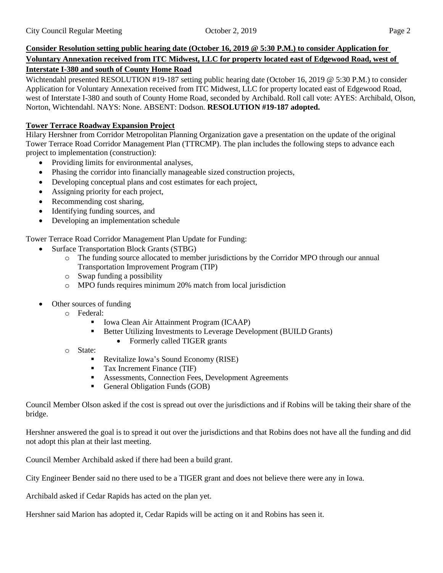# **Consider Resolution setting public hearing date (October 16, 2019 @ 5:30 P.M.) to consider Application for Voluntary Annexation received from ITC Midwest, LLC for property located east of Edgewood Road, west of Interstate I-380 and south of County Home Road**

Wichtendahl presented RESOLUTION #19-187 setting public hearing date (October 16, 2019 @ 5:30 P.M.) to consider Application for Voluntary Annexation received from ITC Midwest, LLC for property located east of Edgewood Road, west of Interstate I-380 and south of County Home Road, seconded by Archibald. Roll call vote: AYES: Archibald, Olson, Norton, Wichtendahl. NAYS: None. ABSENT: Dodson. **RESOLUTION #19-187 adopted.**

# **Tower Terrace Roadway Expansion Project**

Hilary Hershner from Corridor Metropolitan Planning Organization gave a presentation on the update of the original Tower Terrace Road Corridor Management Plan (TTRCMP). The plan includes the following steps to advance each project to implementation (construction):

- Providing limits for environmental analyses,
- Phasing the corridor into financially manageable sized construction projects,
- Developing conceptual plans and cost estimates for each project,
- Assigning priority for each project,
- Recommending cost sharing,
- Identifying funding sources, and
- Developing an implementation schedule

Tower Terrace Road Corridor Management Plan Update for Funding:

- Surface Transportation Block Grants (STBG)
	- o The funding source allocated to member jurisdictions by the Corridor MPO through our annual Transportation Improvement Program (TIP)
	- o Swap funding a possibility
	- o MPO funds requires minimum 20% match from local jurisdiction
- Other sources of funding
	- o Federal:
		- Iowa Clean Air Attainment Program (ICAAP)
		- Better Utilizing Investments to Leverage Development (BUILD Grants)
			- Formerly called TIGER grants
	- o State:
		- Revitalize Iowa's Sound Economy (RISE)
		- Tax Increment Finance (TIF)
		- Assessments, Connection Fees, Development Agreements
		- General Obligation Funds (GOB)

Council Member Olson asked if the cost is spread out over the jurisdictions and if Robins will be taking their share of the bridge.

Hershner answered the goal is to spread it out over the jurisdictions and that Robins does not have all the funding and did not adopt this plan at their last meeting.

Council Member Archibald asked if there had been a build grant.

City Engineer Bender said no there used to be a TIGER grant and does not believe there were any in Iowa.

Archibald asked if Cedar Rapids has acted on the plan yet.

Hershner said Marion has adopted it, Cedar Rapids will be acting on it and Robins has seen it.